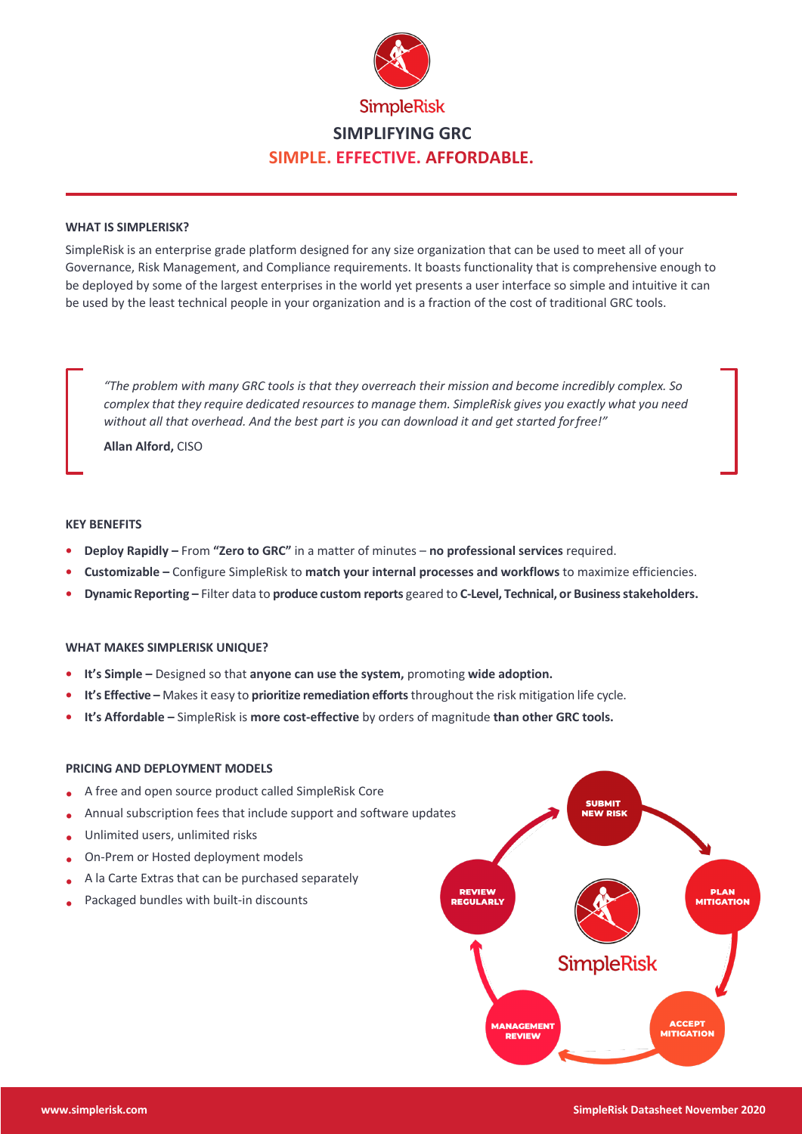

# **WHAT IS SIMPLERISK?**

SimpleRisk is an enterprise grade platform designed for any size organization that can be used to meet all of your Governance, Risk Management, and Compliance requirements. It boasts functionality that is comprehensive enough to be deployed by some of the largest enterprises in the world yet presents a user interface so simple and intuitive it can be used by the least technical people in your organization and is a fraction of the cost of traditional GRC tools.

*"The problem with many GRC tools is that they overreach their mission and become incredibly complex. So complex that they require dedicated resources to manage them. SimpleRisk gives you exactly what you need without all that overhead. And the best part is you can download it and get started forfree!"*

**Allan Alford,** CISO

#### **KEY BENEFITS**

- **• Deploy Rapidly –** From **"Zero to GRC"** in a matter of minutes – **no professional services** required.
- **• Customizable –** Configure SimpleRisk to **match your internal processes and workflows** to maximize efficiencies.
- **• Dynamic Reporting –** Filter data to **produce custom reports** geared to **C-Level, Technical, or Businessstakeholders.**

### **WHAT MAKES SIMPLERISK UNIQUE?**

- **• It's Simple –** Designed so that **anyone can use the system,** promoting **wide adoption.**
- **• It's Effective –** Makesit easy to **prioritize remediation efforts** throughout the risk mitigation life cycle.
- **• It's Affordable –** SimpleRisk is **more cost-effective** by orders of magnitude **than other GRC tools.**

### **PRICING AND DEPLOYMENT MODELS**

- **•** A free and open source product called SimpleRisk Core
- **•** Annual subscription fees that include support and software updates
- **•** Unlimited users, unlimited risks
- **•** On-Prem or Hosted deployment models
- **•** A la Carte Extras that can be purchased separately
- **•** Packaged bundles with built-in discounts